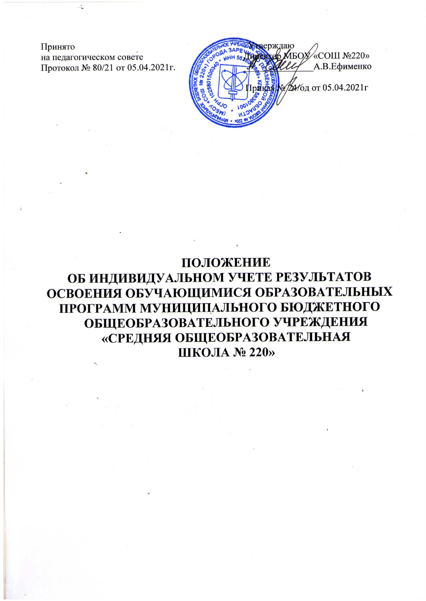Принято на педагогическом совете Протокол № 80/21 от 05.04.2021г.

рждаю **«COIII Nº220»** MEOX А.В.Ефименко № ДА ГОД ОТ 05.04.2021г

ПОЛОЖЕНИЕ ОБ ИНДИВИДУАЛЬНОМ УЧЕТЕ РЕЗУЛЬТАТОВ ОСВОЕНИЯ ОБУЧАЮЩИМИСЯ ОБРАЗОВАТЕЛЬНЫХ ПРОГРАММ МУНИЦИПАЛЬНОГО БЮДЖЕТНОГО ОБЩЕОБРАЗОВАТЕЛЬНОГО УЧРЕЖДЕНИЯ «СРЕДНЯЯ ОБЩЕОБРАЗОВАТЕЛЬНАЯ ШКОЛА № 220»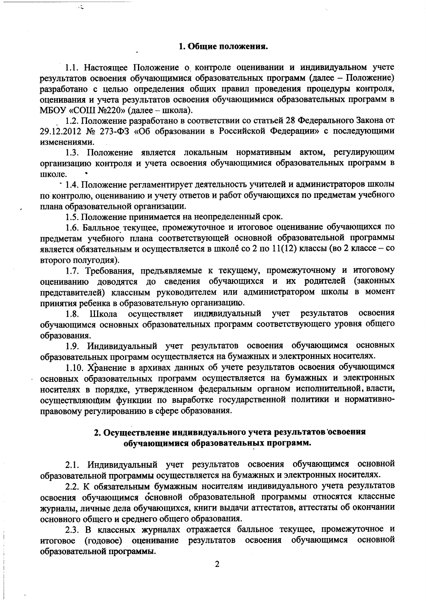## 1. Обшие положения.

1.1. Настоящее Положение о контроле оценивании и индивидуальном учете результатов освоения обучающимися образовательных программ (далее - Положение) разработано с целью определения общих правил проведения процедуры контроля, оценивания и учета результатов освоения обучающимися образовательных программ в МБОУ «СОШ №220» (далее - школа).

1.2. Положение разработано в соответствии со статьей 28 Федерального Закона от 29.12.2012 № 273-ФЗ «Об образовании в Российской Федерации» с последующими изменениями.

1.3. Положение является локальным нормативным актом, регулирующим организацию контроля и учета освоения обучающимися образовательных программ в школе.

1.4. Положение регламентирует деятельность учителей и администраторов школы по контролю, оцениванию и учету ответов и работ обучающихся по предметам учебного плана образовательной организации.

1.5. Положение принимается на неопределенный срок.

 $\ddot{\sim}$ 

1.6. Балльное текущее, промежуточное и итоговое оценивание обучающихся по предметам учебного плана соответствующей основной образовательной программы является обязательным и осуществляется в школе со 2 по 11(12) классы (во 2 классе - со второго полугодия).

1.7. Требования, предъявляемые к текущему, промежуточному и итоговому оцениванию доводятся до сведения обучающихся и их родителей (законных представителей) классным руководителем или администратором школы в момент принятия ребенка в образовательную организацию.

1.8. Школа осуществляет индивидуальный учет результатов освоения обучающимся основных образовательных программ соответствующего уровня общего образования.

1.9. Индивидуальный учет результатов освоения обучающимся основных образовательных программ осуществляется на бумажных и электронных носителях.

1.10. Хранение в архивах данных об учете результатов освоения обучающимся основных образовательных программ осуществляется на бумажных и электронных носителях в порядке, утвержденном федеральным органом исполнительной, власти, осуществляющим функции по выработке государственной политики и нормативноправовому регулированию в сфере образования.

## 2. Осуществление индивидуального учета результатов освоения обучающимися образовательных программ.

2.1. Индивидуальный учет результатов освоения обучающимся основной образовательной программы осуществляется на бумажных и электронных носителях.

2.2. К обязательным бумажным носителям индивидуального учета результатов освоения обучающимся основной образовательной программы относятся классные журналы, личные дела обучающихся, книги выдачи аттестатов, аттестаты об окончании основного общего и среднего общего образования.

2.3. В классных журналах отражается балльное текущее, промежуточное и итоговое (годовое) оценивание результатов освоения обучающимся основной образовательной программы.

 $\overline{2}$